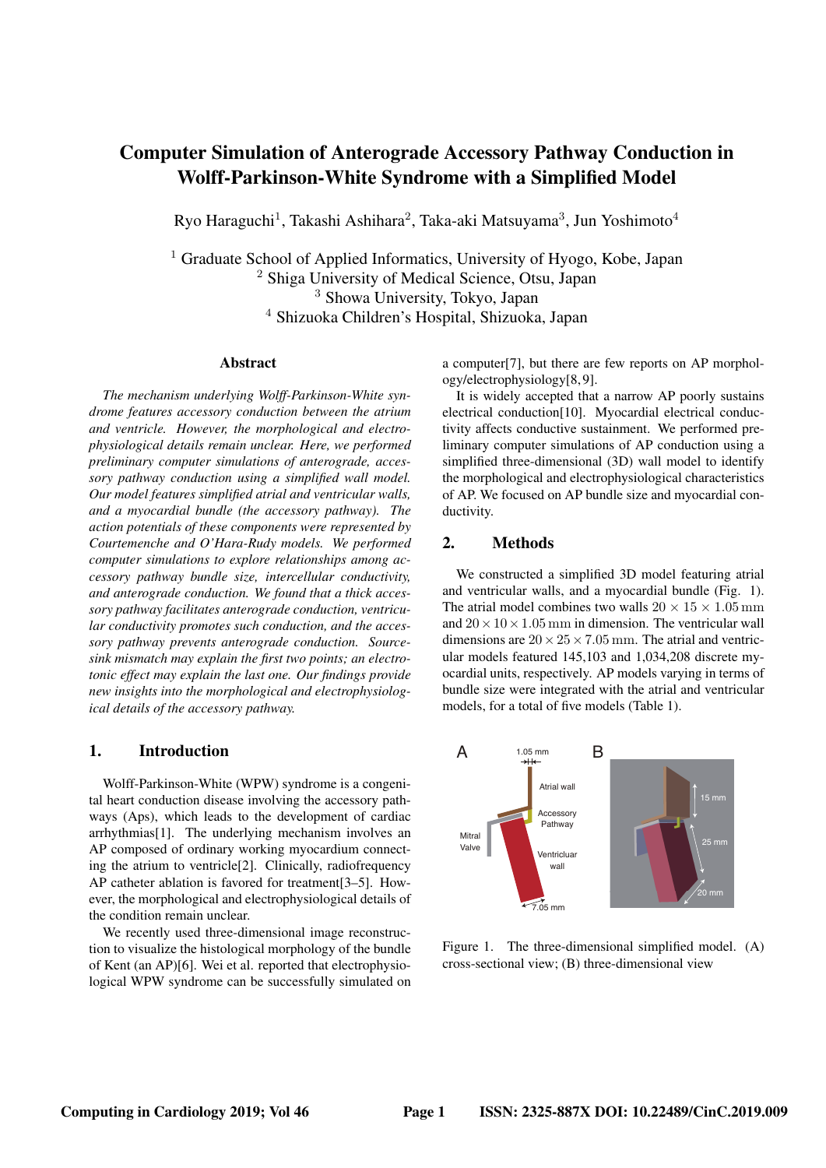# Computer Simulation of Anterograde Accessory Pathway Conduction in Wolff-Parkinson-White Syndrome with a Simplified Model

Ryo Haraguchi<sup>1</sup>, Takashi Ashihara<sup>2</sup>, Taka-aki Matsuyama<sup>3</sup>, Jun Yoshimoto<sup>4</sup>

<sup>1</sup> Graduate School of Applied Informatics, University of Hyogo, Kobe, Japan Shiga University of Medical Science, Otsu, Japan Showa University, Tokyo, Japan Shizuoka Children's Hospital, Shizuoka, Japan

#### Abstract

*The mechanism underlying Wolff-Parkinson-White syndrome features accessory conduction between the atrium and ventricle. However, the morphological and electrophysiological details remain unclear. Here, we performed preliminary computer simulations of anterograde, accessory pathway conduction using a simplified wall model. Our model features simplified atrial and ventricular walls, and a myocardial bundle (the accessory pathway). The action potentials of these components were represented by Courtemenche and O'Hara-Rudy models. We performed computer simulations to explore relationships among accessory pathway bundle size, intercellular conductivity, and anterograde conduction. We found that a thick accessory pathway facilitates anterograde conduction, ventricular conductivity promotes such conduction, and the accessory pathway prevents anterograde conduction. Sourcesink mismatch may explain the first two points; an electrotonic effect may explain the last one. Our findings provide new insights into the morphological and electrophysiological details of the accessory pathway.*

#### 1. Introduction

Wolff-Parkinson-White (WPW) syndrome is a congenital heart conduction disease involving the accessory pathways (Aps), which leads to the development of cardiac arrhythmias[1]. The underlying mechanism involves an AP composed of ordinary working myocardium connecting the atrium to ventricle[2]. Clinically, radiofrequency AP catheter ablation is favored for treatment[3–5]. However, the morphological and electrophysiological details of the condition remain unclear.

We recently used three-dimensional image reconstruction to visualize the histological morphology of the bundle of Kent (an AP)[6]. Wei et al. reported that electrophysiological WPW syndrome can be successfully simulated on a computer[7], but there are few reports on AP morphology/electrophysiology[8, 9].

It is widely accepted that a narrow AP poorly sustains electrical conduction[10]. Myocardial electrical conductivity affects conductive sustainment. We performed preliminary computer simulations of AP conduction using a simplified three-dimensional (3D) wall model to identify the morphological and electrophysiological characteristics of AP. We focused on AP bundle size and myocardial conductivity.

#### 2. Methods

We constructed a simplified 3D model featuring atrial and ventricular walls, and a myocardial bundle (Fig. 1). The atrial model combines two walls  $20 \times 15 \times 1.05$  mm and  $20 \times 10 \times 1.05$  mm in dimension. The ventricular wall dimensions are  $20 \times 25 \times 7.05$  mm. The atrial and ventricular models featured 145,103 and 1,034,208 discrete myocardial units, respectively. AP models varying in terms of bundle size were integrated with the atrial and ventricular models, for a total of five models (Table 1).



Figure 1. The three-dimensional simplified model. (A) cross-sectional view; (B) three-dimensional view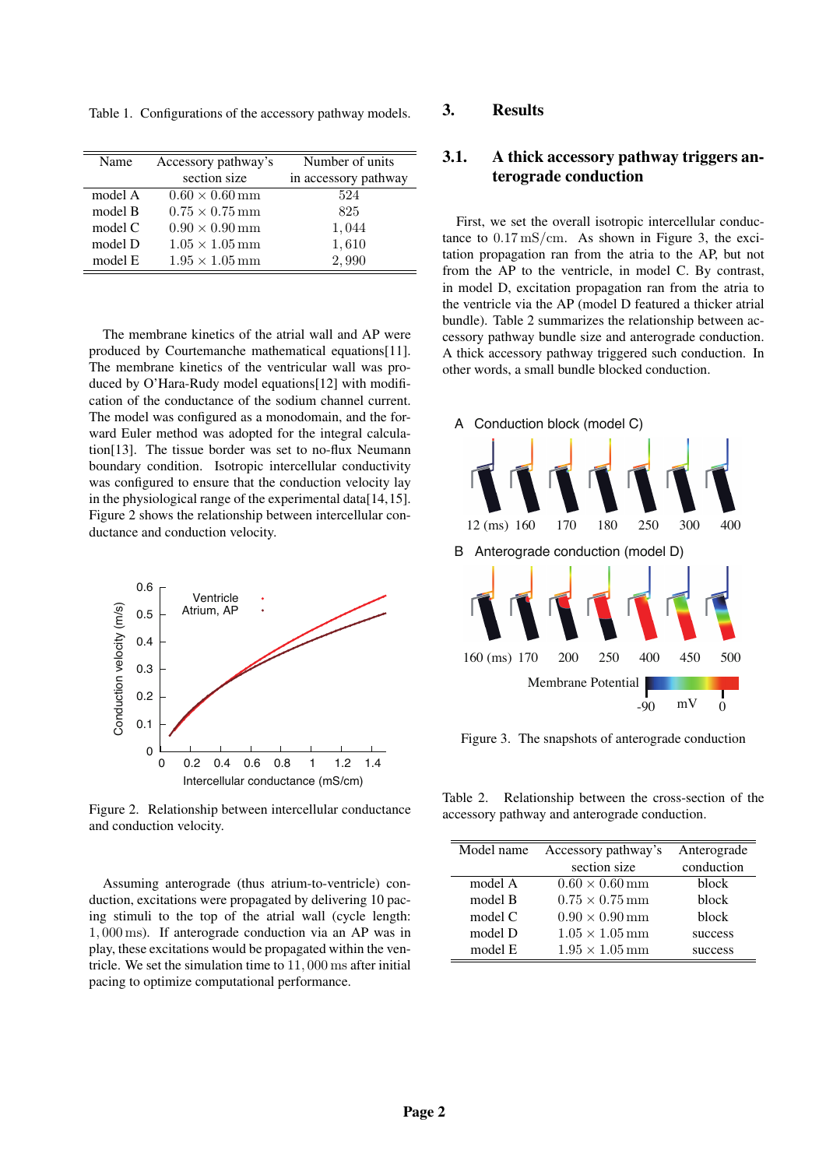Table 1. Configurations of the accessory pathway models.

| Name    | Accessory pathway's              | Number of units      |
|---------|----------------------------------|----------------------|
|         | section size                     | in accessory pathway |
| model A | $0.60 \times 0.60 \,\mathrm{mm}$ | 524                  |
| model B | $0.75 \times 0.75$ mm            | 825                  |
| model C | $0.90 \times 0.90 \,\mathrm{mm}$ | 1,044                |
| model D | $1.05 \times 1.05 \,\mathrm{mm}$ | 1,610                |
| model E | $1.95 \times 1.05 \,\mathrm{mm}$ | 2,990                |

The membrane kinetics of the atrial wall and AP were produced by Courtemanche mathematical equations[11]. The membrane kinetics of the ventricular wall was produced by O'Hara-Rudy model equations[12] with modification of the conductance of the sodium channel current. The model was configured as a monodomain, and the forward Euler method was adopted for the integral calculation[13]. The tissue border was set to no-flux Neumann boundary condition. Isotropic intercellular conductivity was configured to ensure that the conduction velocity lay in the physiological range of the experimental data[14,15]. Figure 2 shows the relationship between intercellular conductance and conduction velocity.



Figure 2. Relationship between intercellular conductance and conduction velocity.

Assuming anterograde (thus atrium-to-ventricle) conduction, excitations were propagated by delivering 10 pacing stimuli to the top of the atrial wall (cycle length: 1*,* 000 ms). If anterograde conduction via an AP was in play, these excitations would be propagated within the ventricle. We set the simulation time to 11*,* 000 ms after initial pacing to optimize computational performance.

#### 3. Results

# 3.1. A thick accessory pathway triggers anterograde conduction

First, we set the overall isotropic intercellular conductance to 0*.*17 mS*/*cm. As shown in Figure 3, the excitation propagation ran from the atria to the AP, but not from the AP to the ventricle, in model C. By contrast, in model D, excitation propagation ran from the atria to the ventricle via the AP (model D featured a thicker atrial bundle). Table 2 summarizes the relationship between accessory pathway bundle size and anterograde conduction. A thick accessory pathway triggered such conduction. In other words, a small bundle blocked conduction.



Figure 3. The snapshots of anterograde conduction

Table 2. Relationship between the cross-section of the accessory pathway and anterograde conduction.

| Model name | Accessory pathway's              | Anterograde |
|------------|----------------------------------|-------------|
|            | section size                     | conduction  |
| model A    | $0.60 \times 0.60 \,\mathrm{mm}$ | block       |
| model B    | $0.75 \times 0.75$ mm            | block       |
| model $C$  | $0.90 \times 0.90 \,\mathrm{mm}$ | block       |
| model D    | $1.05 \times 1.05$ mm            | success     |
| model E    | $1.95 \times 1.05$ mm            | success     |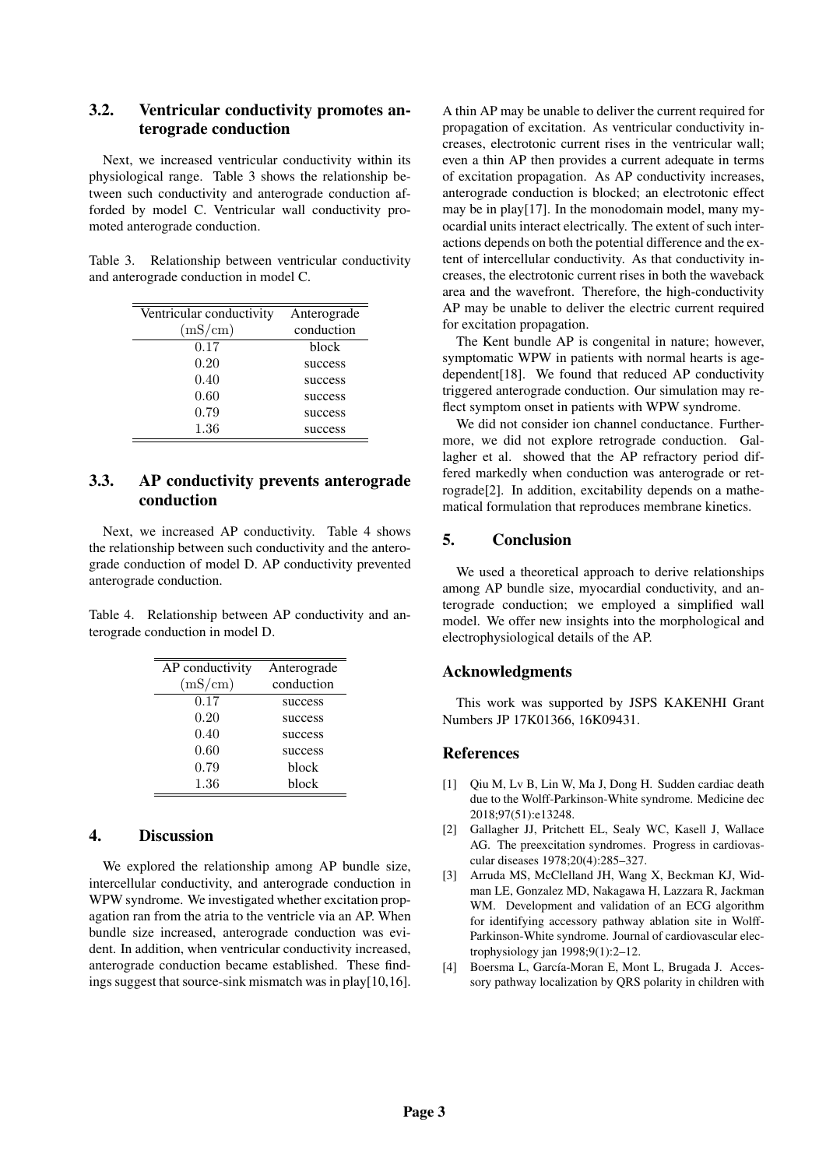# 3.2. Ventricular conductivity promotes anterograde conduction

Next, we increased ventricular conductivity within its physiological range. Table 3 shows the relationship between such conductivity and anterograde conduction afforded by model C. Ventricular wall conductivity promoted anterograde conduction.

Table 3. Relationship between ventricular conductivity and anterograde conduction in model C.

| Ventricular conductivity | Anterograde |
|--------------------------|-------------|
| (mS/cm)                  | conduction  |
| 0.17                     | block       |
| 0.20                     | success     |
| 0.40                     | success     |
| 0.60                     | success     |
| 0.79                     | success     |
| 1.36                     | success     |

# 3.3. AP conductivity prevents anterograde conduction

Next, we increased AP conductivity. Table 4 shows the relationship between such conductivity and the anterograde conduction of model D. AP conductivity prevented anterograde conduction.

Table 4. Relationship between AP conductivity and anterograde conduction in model D.

| AP conductivity | Anterograde |
|-----------------|-------------|
| (mS/cm)         | conduction  |
| 0.17            | success     |
| 0.20            | success     |
| 0.40            | success     |
| 0.60            | success     |
| 0.79            | block       |
| 1.36            | block       |

### 4. Discussion

We explored the relationship among AP bundle size, intercellular conductivity, and anterograde conduction in WPW syndrome. We investigated whether excitation propagation ran from the atria to the ventricle via an AP. When bundle size increased, anterograde conduction was evident. In addition, when ventricular conductivity increased, anterograde conduction became established. These findings suggest that source-sink mismatch was in play[10,16]. A thin AP may be unable to deliver the current required for propagation of excitation. As ventricular conductivity increases, electrotonic current rises in the ventricular wall; even a thin AP then provides a current adequate in terms of excitation propagation. As AP conductivity increases, anterograde conduction is blocked; an electrotonic effect may be in play[17]. In the monodomain model, many myocardial units interact electrically. The extent of such interactions depends on both the potential difference and the extent of intercellular conductivity. As that conductivity increases, the electrotonic current rises in both the waveback area and the wavefront. Therefore, the high-conductivity AP may be unable to deliver the electric current required for excitation propagation.

The Kent bundle AP is congenital in nature; however, symptomatic WPW in patients with normal hearts is agedependent[18]. We found that reduced AP conductivity triggered anterograde conduction. Our simulation may reflect symptom onset in patients with WPW syndrome.

We did not consider ion channel conductance. Furthermore, we did not explore retrograde conduction. Gallagher et al. showed that the AP refractory period differed markedly when conduction was anterograde or retrograde[2]. In addition, excitability depends on a mathematical formulation that reproduces membrane kinetics.

### 5. Conclusion

We used a theoretical approach to derive relationships among AP bundle size, myocardial conductivity, and anterograde conduction; we employed a simplified wall model. We offer new insights into the morphological and electrophysiological details of the AP.

#### Acknowledgments

This work was supported by JSPS KAKENHI Grant Numbers JP 17K01366, 16K09431.

#### References

- [1] Qiu M, Lv B, Lin W, Ma J, Dong H. Sudden cardiac death due to the Wolff-Parkinson-White syndrome. Medicine dec 2018;97(51):e13248.
- [2] Gallagher JJ, Pritchett EL, Sealy WC, Kasell J, Wallace AG. The preexcitation syndromes. Progress in cardiovascular diseases 1978;20(4):285–327.
- [3] Arruda MS, McClelland JH, Wang X, Beckman KJ, Widman LE, Gonzalez MD, Nakagawa H, Lazzara R, Jackman WM. Development and validation of an ECG algorithm for identifying accessory pathway ablation site in Wolff-Parkinson-White syndrome. Journal of cardiovascular electrophysiology jan 1998;9(1):2–12.
- [4] Boersma L, García-Moran E, Mont L, Brugada J. Accessory pathway localization by QRS polarity in children with